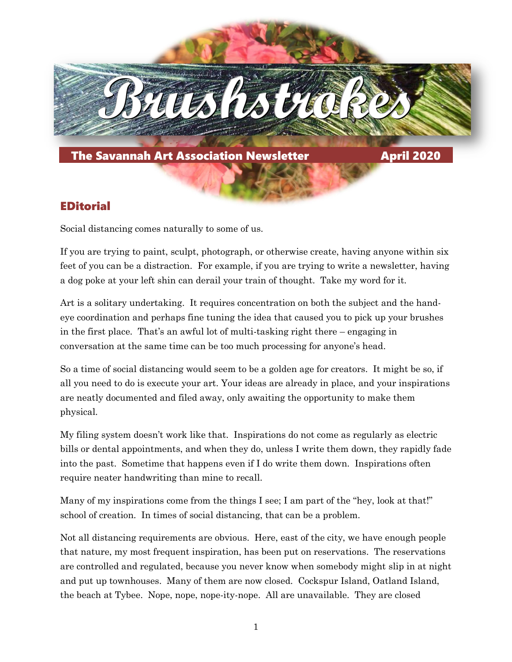

### EDitorial

Social distancing comes naturally to some of us.

If you are trying to paint, sculpt, photograph, or otherwise create, having anyone within six feet of you can be a distraction. For example, if you are trying to write a newsletter, having a dog poke at your left shin can derail your train of thought. Take my word for it.

Art is a solitary undertaking. It requires concentration on both the subject and the handeye coordination and perhaps fine tuning the idea that caused you to pick up your brushes in the first place. That's an awful lot of multi-tasking right there – engaging in conversation at the same time can be too much processing for anyone's head.

So a time of social distancing would seem to be a golden age for creators. It might be so, if all you need to do is execute your art. Your ideas are already in place, and your inspirations are neatly documented and filed away, only awaiting the opportunity to make them physical.

My filing system doesn't work like that. Inspirations do not come as regularly as electric bills or dental appointments, and when they do, unless I write them down, they rapidly fade into the past. Sometime that happens even if I do write them down. Inspirations often require neater handwriting than mine to recall.

Many of my inspirations come from the things I see; I am part of the "hey, look at that!" school of creation. In times of social distancing, that can be a problem.

Not all distancing requirements are obvious. Here, east of the city, we have enough people that nature, my most frequent inspiration, has been put on reservations. The reservations are controlled and regulated, because you never know when somebody might slip in at night and put up townhouses. Many of them are now closed. Cockspur Island, Oatland Island, the beach at Tybee. Nope, nope, nope-ity-nope. All are unavailable. They are closed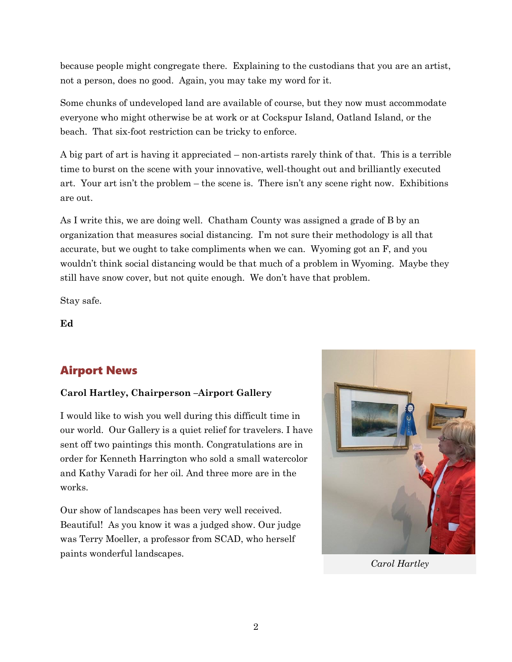because people might congregate there. Explaining to the custodians that you are an artist, not a person, does no good. Again, you may take my word for it.

Some chunks of undeveloped land are available of course, but they now must accommodate everyone who might otherwise be at work or at Cockspur Island, Oatland Island, or the beach. That six-foot restriction can be tricky to enforce.

A big part of art is having it appreciated – non-artists rarely think of that. This is a terrible time to burst on the scene with your innovative, well-thought out and brilliantly executed art. Your art isn't the problem – the scene is. There isn't any scene right now. Exhibitions are out.

As I write this, we are doing well. Chatham County was assigned a grade of B by an organization that measures social distancing. I'm not sure their methodology is all that accurate, but we ought to take compliments when we can. Wyoming got an F, and you wouldn't think social distancing would be that much of a problem in Wyoming. Maybe they still have snow cover, but not quite enough. We don't have that problem.

Stay safe.

**Ed**

# Airport News

#### **Carol Hartley, Chairperson –Airport Gallery**

I would like to wish you well during this difficult time in our world. Our Gallery is a quiet relief for travelers. I have sent off two paintings this month. Congratulations are in order for Kenneth Harrington who sold a small watercolor and Kathy Varadi for her oil. And three more are in the works.

Our show of landscapes has been very well received. Beautiful! As you know it was a judged show. Our judge was Terry Moeller, a professor from SCAD, who herself paints wonderful landscapes.



*Carol Hartley*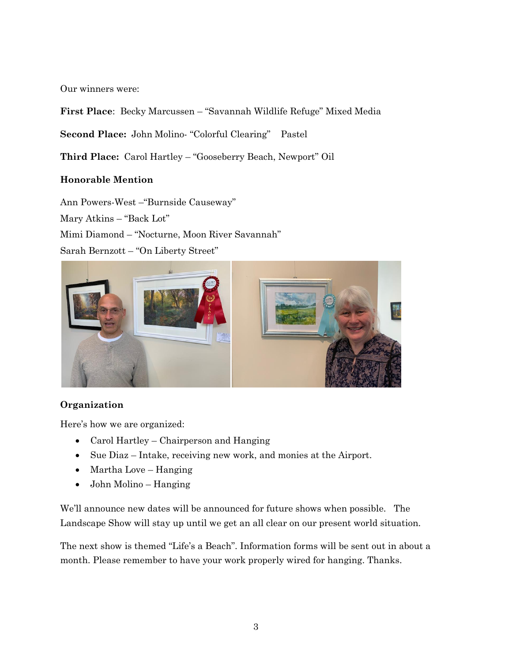Our winners were:

**First Place**: Becky Marcussen – "Savannah Wildlife Refuge" Mixed Media

**Second Place:** John Molino- "Colorful Clearing" Pastel

**Third Place:** Carol Hartley – "Gooseberry Beach, Newport" Oil

#### **Honorable Mention**

Ann Powers-West –"Burnside Causeway" Mary Atkins – "Back Lot" Mimi Diamond – "Nocturne, Moon River Savannah" Sarah Bernzott – "On Liberty Street"



#### **Organization**

Here's how we are organized:

- Carol Hartley Chairperson and Hanging
- Sue Diaz Intake, receiving new work, and monies at the Airport.
- Martha Love Hanging
- John Molino Hanging

We'll announce new dates will be announced for future shows when possible. The Landscape Show will stay up until we get an all clear on our present world situation.

The next show is themed "Life's a Beach". Information forms will be sent out in about a month. Please remember to have your work properly wired for hanging. Thanks.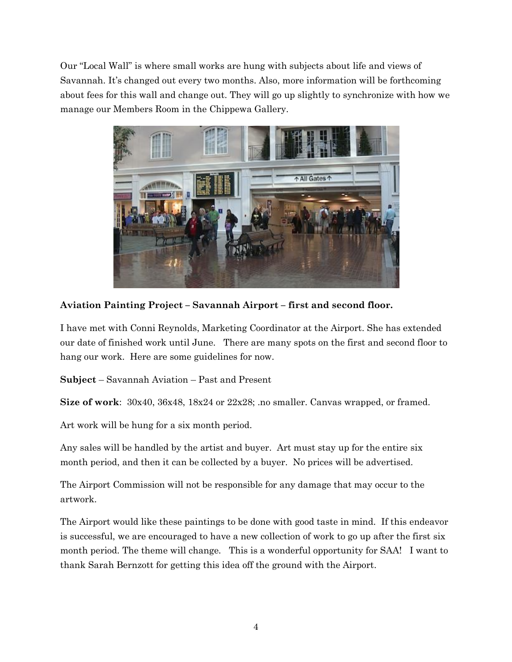Our "Local Wall" is where small works are hung with subjects about life and views of Savannah. It's changed out every two months. Also, more information will be forthcoming about fees for this wall and change out. They will go up slightly to synchronize with how we manage our Members Room in the Chippewa Gallery.



**Aviation Painting Project – Savannah Airport – first and second floor.**

I have met with Conni Reynolds, Marketing Coordinator at the Airport. She has extended our date of finished work until June. There are many spots on the first and second floor to hang our work. Here are some guidelines for now.

**Subject** – Savannah Aviation – Past and Present

**Size of work**: 30x40, 36x48, 18x24 or 22x28; .no smaller. Canvas wrapped, or framed.

Art work will be hung for a six month period.

Any sales will be handled by the artist and buyer. Art must stay up for the entire six month period, and then it can be collected by a buyer. No prices will be advertised.

The Airport Commission will not be responsible for any damage that may occur to the artwork.

The Airport would like these paintings to be done with good taste in mind. If this endeavor is successful, we are encouraged to have a new collection of work to go up after the first six month period. The theme will change. This is a wonderful opportunity for SAA! I want to thank Sarah Bernzott for getting this idea off the ground with the Airport.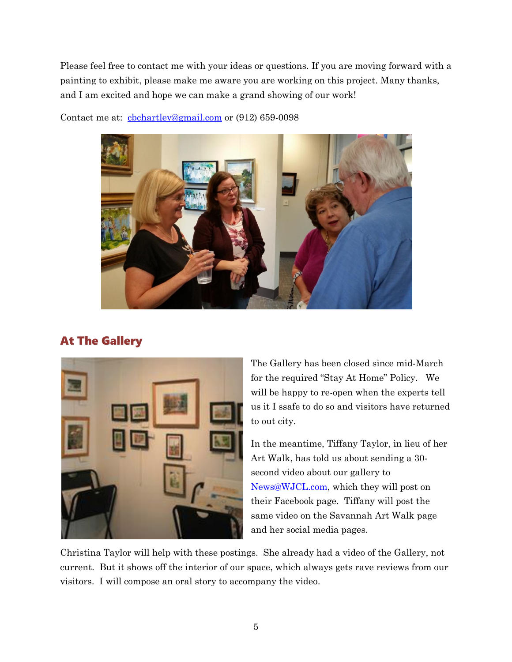Please feel free to contact me with your ideas or questions. If you are moving forward with a painting to exhibit, please make me aware you are working on this project. Many thanks, and I am excited and hope we can make a grand showing of our work!



Contact me at: chchartley@gmail.com or (912) 659-0098

### At The Gallery



The Gallery has been closed since mid-March for the required "Stay At Home" Policy. We will be happy to re-open when the experts tell us it I ssafe to do so and visitors have returned to out city.

In the meantime, Tiffany Taylor, in lieu of her Art Walk, has told us about sending a 30 second video about our gallery to [News@WJCL.com,](mailto:News@WJCL.com) which they will post on their Facebook page. Tiffany will post the same video on the Savannah Art Walk page and her social media pages.

Christina Taylor will help with these postings. She already had a video of the Gallery, not current. But it shows off the interior of our space, which always gets rave reviews from our visitors. I will compose an oral story to accompany the video.